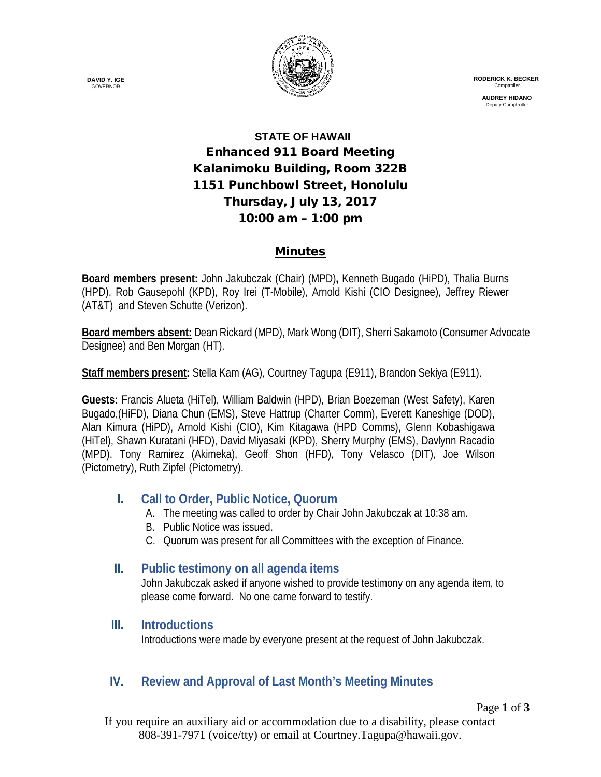

 **RODERICK K. BECKER Comptroller** 

> **AUDREY HIDANO** Deputy Comptro

# **STATE OF HAWAII** Enhanced 911 Board Meeting Kalanimoku Building, Room 322B 1151 Punchbowl Street, Honolulu Thursday, July 13, 2017 10:00 am – 1:00 pm

#### Minutes

**Board members present:** John Jakubczak (Chair) (MPD)**,** Kenneth Bugado (HiPD), Thalia Burns (HPD), Rob Gausepohl (KPD), Roy Irei (T-Mobile), Arnold Kishi (CIO Designee), Jeffrey Riewer (AT&T) and Steven Schutte (Verizon).

**Board members absent:** Dean Rickard (MPD), Mark Wong (DIT), Sherri Sakamoto (Consumer Advocate Designee) and Ben Morgan (HT).

**Staff members present:** Stella Kam (AG), Courtney Tagupa (E911), Brandon Sekiya (E911).

**Guests:** Francis Alueta (HiTel), William Baldwin (HPD), Brian Boezeman (West Safety), Karen Bugado,(HiFD), Diana Chun (EMS), Steve Hattrup (Charter Comm), Everett Kaneshige (DOD), Alan Kimura (HiPD), Arnold Kishi (CIO), Kim Kitagawa (HPD Comms), Glenn Kobashigawa (HiTel), Shawn Kuratani (HFD), David Miyasaki (KPD), Sherry Murphy (EMS), Davlynn Racadio (MPD), Tony Ramirez (Akimeka), Geoff Shon (HFD), Tony Velasco (DIT), Joe Wilson (Pictometry), Ruth Zipfel (Pictometry).

## **I. Call to Order, Public Notice, Quorum**

- A. The meeting was called to order by Chair John Jakubczak at 10:38 am.
- B. Public Notice was issued.
- C. Quorum was present for all Committees with the exception of Finance.

## **II. Public testimony on all agenda items**

John Jakubczak asked if anyone wished to provide testimony on any agenda item, to please come forward. No one came forward to testify.

#### **III. Introductions**

Introductions were made by everyone present at the request of John Jakubczak.

## **IV. Review and Approval of Last Month's Meeting Minutes**

Page **1** of **3**

If you require an auxiliary aid or accommodation due to a disability, please contact 808-391-7971 (voice/tty) or email at Courtney.Tagupa@hawaii.gov.

**DAVID Y. IGE GOVERNOR**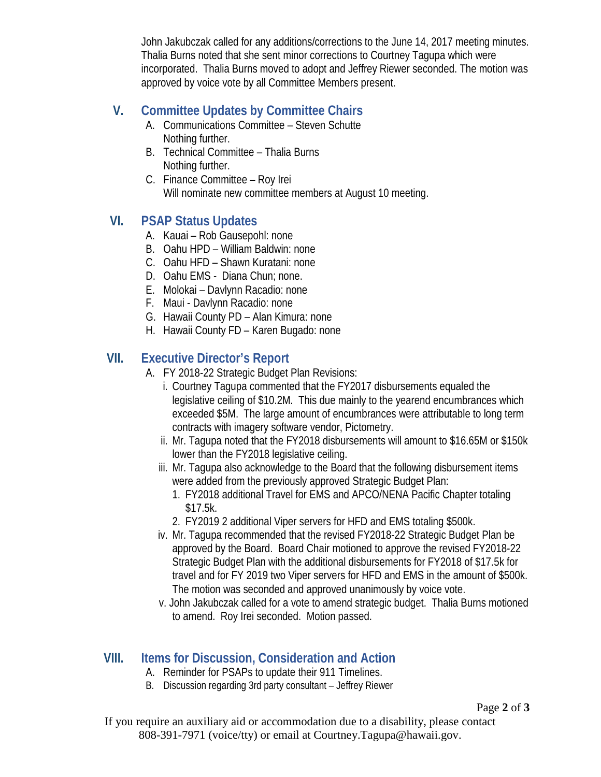John Jakubczak called for any additions/corrections to the June 14, 2017 meeting minutes. Thalia Burns noted that she sent minor corrections to Courtney Tagupa which were incorporated. Thalia Burns moved to adopt and Jeffrey Riewer seconded. The motion was approved by voice vote by all Committee Members present.

## **V. Committee Updates by Committee Chairs**

- A. Communications Committee Steven Schutte Nothing further.
- B. Technical Committee Thalia Burns Nothing further.
- C. Finance Committee Roy Irei Will nominate new committee members at August 10 meeting.

## **VI. PSAP Status Updates**

- A. Kauai Rob Gausepohl: none
- B. Oahu HPD William Baldwin: none
- C. Oahu HFD Shawn Kuratani: none
- D. Oahu EMS Diana Chun; none.
- E. Molokai Davlynn Racadio: none
- F. Maui Davlynn Racadio: none
- G. Hawaii County PD Alan Kimura: none
- H. Hawaii County FD Karen Bugado: none

#### **VII. Executive Director's Report**

- A. FY 2018-22 Strategic Budget Plan Revisions:
	- i. Courtney Tagupa commented that the FY2017 disbursements equaled the legislative ceiling of \$10.2M. This due mainly to the yearend encumbrances which exceeded \$5M. The large amount of encumbrances were attributable to long term contracts with imagery software vendor, Pictometry.
	- ii. Mr. Tagupa noted that the FY2018 disbursements will amount to \$16.65M or \$150k lower than the FY2018 legislative ceiling.
	- iii. Mr. Tagupa also acknowledge to the Board that the following disbursement items were added from the previously approved Strategic Budget Plan:
		- 1. FY2018 additional Travel for EMS and APCO/NENA Pacific Chapter totaling \$17.5k.
		- 2. FY2019 2 additional Viper servers for HFD and EMS totaling \$500k.
	- iv. Mr. Tagupa recommended that the revised FY2018-22 Strategic Budget Plan be approved by the Board. Board Chair motioned to approve the revised FY2018-22 Strategic Budget Plan with the additional disbursements for FY2018 of \$17.5k for travel and for FY 2019 two Viper servers for HFD and EMS in the amount of \$500k. The motion was seconded and approved unanimously by voice vote.
	- v. John Jakubczak called for a vote to amend strategic budget. Thalia Burns motioned to amend. Roy Irei seconded. Motion passed.

## **VIII. Items for Discussion, Consideration and Action**

- A. Reminder for PSAPs to update their 911 Timelines.
- B. Discussion regarding 3rd party consultant Jeffrey Riewer

If you require an auxiliary aid or accommodation due to a disability, please contact 808-391-7971 (voice/tty) or email at Courtney.Tagupa@hawaii.gov.